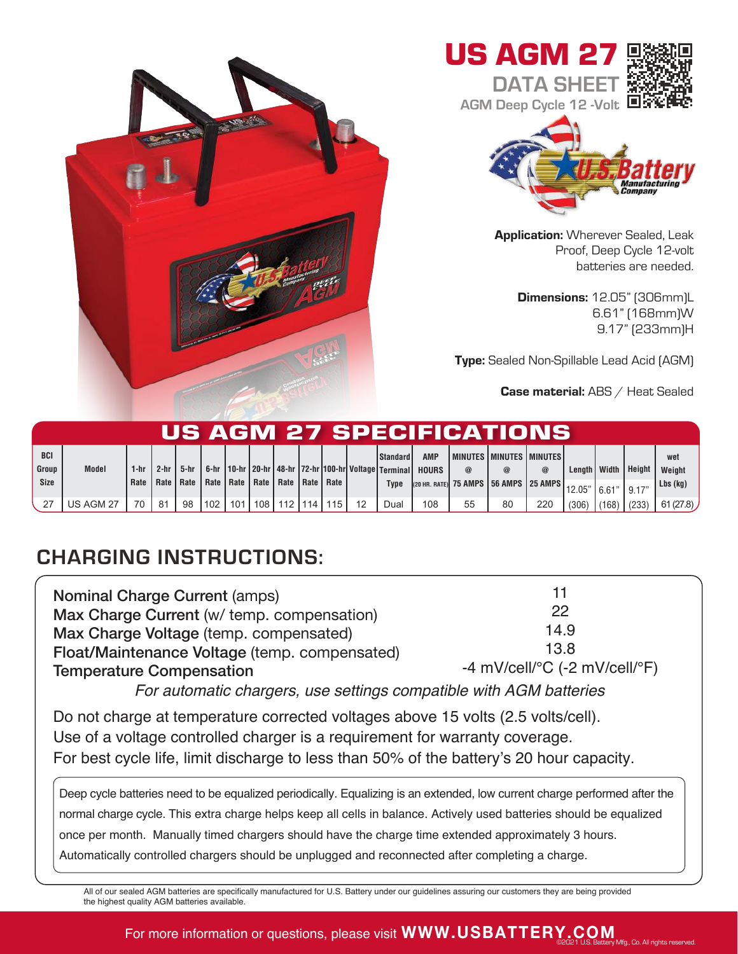





**Application: Wherever Sealed, Leak** Proof, Deep Cycle 12-volt batteries are needed.

Dimensions: 12.05" (306mm)L 6.61" (168mm)W 9.17" (233mm)H

Type: Sealed Non-Spillable Lead Acid (AGM)

Case material: ABS / Heat Sealed

|             | US AGM 27 SPECIFICATIONS |      |        |        |                           |     |     |                           |      |     |  |                                                                    |              |          |                                           |             |                |        |        |            |
|-------------|--------------------------|------|--------|--------|---------------------------|-----|-----|---------------------------|------|-----|--|--------------------------------------------------------------------|--------------|----------|-------------------------------------------|-------------|----------------|--------|--------|------------|
| <b>BCI</b>  |                          |      |        |        |                           |     |     |                           |      |     |  | l Standard I                                                       | <b>AMP</b>   |          | I MINUTES I MINUTES I MINUTES I           |             |                |        |        | wet        |
| Group       | <b>Model</b>             | 1-hr | $2-hr$ | $5-hr$ |                           |     |     |                           |      |     |  | 6-hr   10-hr   20-hr   48-hr   72-hr   100-hr   Voltage   Terminal | <b>HOURS</b> | $\omega$ |                                           | $\circleda$ | Lenath   Width |        | Height | Weight     |
| <b>Size</b> |                          | Rate |        |        | Rate   Rate   Rate   Rate |     |     | Rate   Rate   Rate   Rate |      |     |  | <b>Type</b>                                                        |              |          | (20 HR. RATE) 75 AMPS   56 AMPS   25 AMPS |             | 12.05"         | 16.61" | 9.17'  | $Lbs$ (kg) |
|             | US AGM 27                | 70   | 81     | 98     | l 102                     | 101 | 108 | 112                       | 1114 | 115 |  | Dual                                                               | 108          | 55       | 80                                        | 220         | (306)          | (168)  | (233)  | 61(27.8)   |

## CHARGING INSTRUCTIONS:

| <b>Nominal Charge Current (amps)</b>          | 11                                                      |  |  |  |  |  |
|-----------------------------------------------|---------------------------------------------------------|--|--|--|--|--|
| Max Charge Current (w/ temp. compensation)    | 22                                                      |  |  |  |  |  |
| Max Charge Voltage (temp. compensated)        | 14.9                                                    |  |  |  |  |  |
| Float/Maintenance Voltage (temp. compensated) | 13.8                                                    |  |  |  |  |  |
| <b>Temperature Compensation</b>               | -4 mV/cell/ ${}^{\circ}$ C (-2 mV/cell/ ${}^{\circ}$ F) |  |  |  |  |  |
|                                               |                                                         |  |  |  |  |  |

For automatic chargers, use settings compatible with AGM batteries

Do not charge at temperature corrected voltages above 15 volts (2.5 volts/cell). Use of a voltage controlled charger is a requirement for warranty coverage. For best cycle life, limit discharge to less than 50% of the battery's 20 hour capacity.

Deep cycle batteries need to be equalized periodically. Equalizing is an extended, low current charge performed after the normal charge cycle. This extra charge helps keep all cells in balance. Actively used batteries should be equalized once per month. Manually timed chargers should have the charge time extended approximately 3 hours. Automatically controlled chargers should be unplugged and reconnected after completing a charge.

All of our sealed AGM batteries are specifically manufactured for U.S. Battery under our guidelines assuring our customers they are being provided the highest quality AGM batteries available.

## For more information or questions, please visit **WWW.USBATTERY.COM** ©2021 U.S. Battery Mfg., Co. All rights reserved.